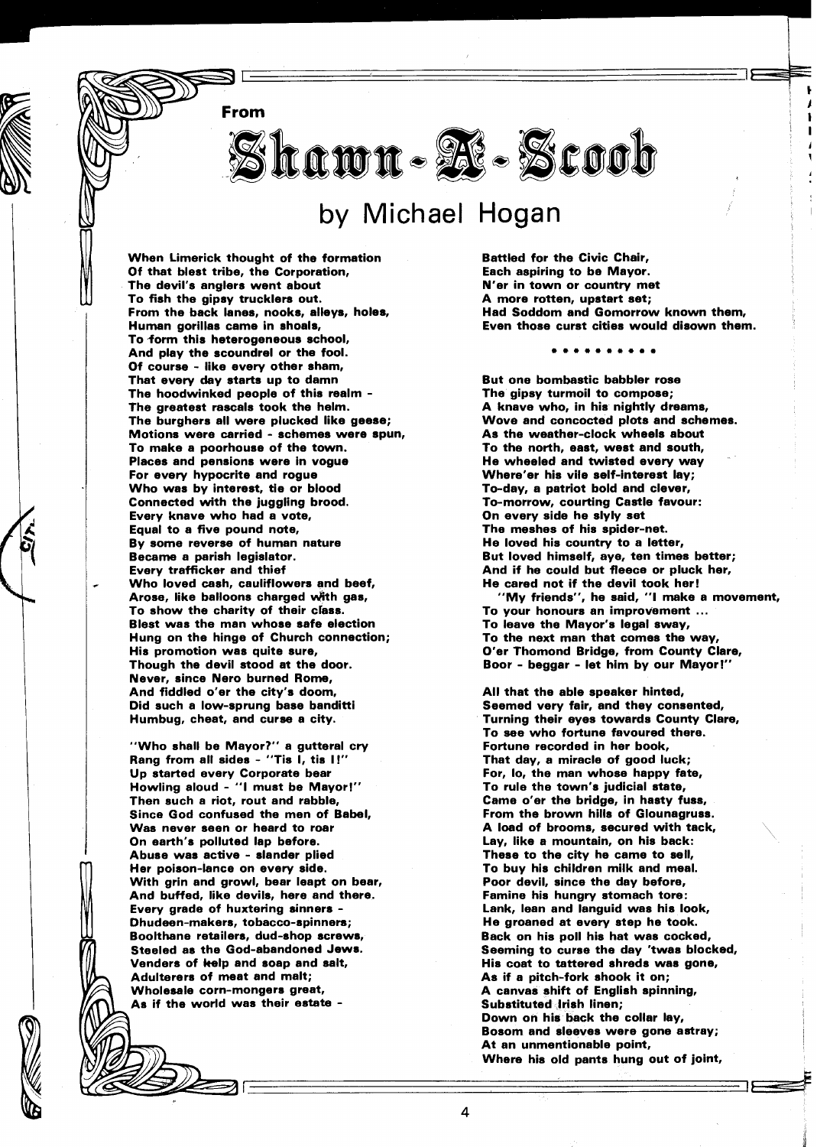**From** 

Skawn - **De - Scoob** 

## by Michael Hogan

When Limerick thought of the formation Of that blest tribe, the Corporation, The devil's anglers went about To fish the gipsy trucklers out. From the back lanes, nooks, alleys, holes, Human gorillas came in shoals, To form this heterogeneous school, And play the scoundrel or the fool. Of course - like every other sham, That every day starts up to damn The hoodwinked people of this realm - The greatest rascals took the helm. The burghers all were plucked like geese; Motions were carried - schemes were spun, To make a poorhouse of the town. Places and pensions were in vogue For every hypocrite and rogue Who was by interest, tie or blood Connected with the juggling brood. Every knave who had a vote, Equal to a five pound note, By some reverse of human nature Became a parish legislator. Every trafficker and thief Who loved cash, cauliflowers and beef, Arose, like balloons charged with gas, To show the charity of their class. Blest was the man whose safe election Hung on the hinge of Church connection; His promotion was quite sure, Though the devil stood at the door. Never, since Nero burned Rome, And fiddled o'er the city's doom, Did such a low-sprung base banditti Humbug, cheat, and curse a city.

"Who shall be Mayor?" a gutteral cry Rang from all sides - "Tis I, tis I!" Up started every Corporate bear Howling aloud - "I must be Mayor!" Then such a riot, rout and rabble, Since God confused the men of Babel, Was never seen or heard to roar On earth's polluted lap before. Abuse was active - slander plied Her poison-lance on every side. With grin and growl, bear leapt on bear, And buffed, like devils, here and there. Every grade of huxtering sinners - Dhudeen-makers, tobacco-spinners; Boolthane retailers, dud-shop screws, Steeled as the God-abandoned Jews. Venders of kelp and soap and salt, Adulterers of meat and malt; Wholesale corn-mongers great,<br>As if the world was their estate -

Battled for the Civic Chair, Each aspiring to be Mayor. N'er in town or country met A more rotten, upstart set; Had Soddom and Gomorrow known them, Even those curst cities would disown them.

. . . . . . . .

But one bombastic babbler rose The gipsy turmoil to compose; A knave who, in his nightly dreams, Wove and concocted plots and schemes. As the weather-clock wheels about To the north, east, west and south, He wheeled and twisted every way Where'er his vile self-interest lay; To-day, a patriot bold and clever, To-morrow, courting Castle favour: On every side he slyly set The meshes of his spider-net. He loved his country to a letter, But loved himself, aye, ten times better; And if he could but fleece or pluck her, He cared not if the devil took her! "My friends", he said, "I make a movement,

To leave the Mayor's legal sway, To the next man that comes the way, O'er Thomond Bridge, from County Clare, Boor - beggar - let him by our Mayor!"

All that the able speaker hinted, Seemed very fair, and they consented, Turning their eyes towards County Clare, To see who fortune favoured there. Fortune recorded in her book, That day, a miracle of good luck; For, 10, the man whose happy fate, To rule the town's judicial state, Came o'er the bridge, in hasty fuss, From the brown hills of Glounagruss. A load of brooms, secured with tack, Lay, like a mountain, on his back: These to the city he came to sell, To buy his children milk and meal. Poor devil, since the day before, Famine his hungry stomach tore: Lank, lean and languid was his look, He groaned at every step he took. Back on his poll his hat was cocked, Seeming to curse the day 'twas blocked, His coat to tattered shreds was gone, As if a pitch-fork shook it on; A canvas shift of English spinning, Substituted Irish linen; Down on his back the collar lay, Bosom and sleeves were gone astray; At an unmentionable point, Where his old pants hung out of joint,

 $\overline{\mathbf{4}}$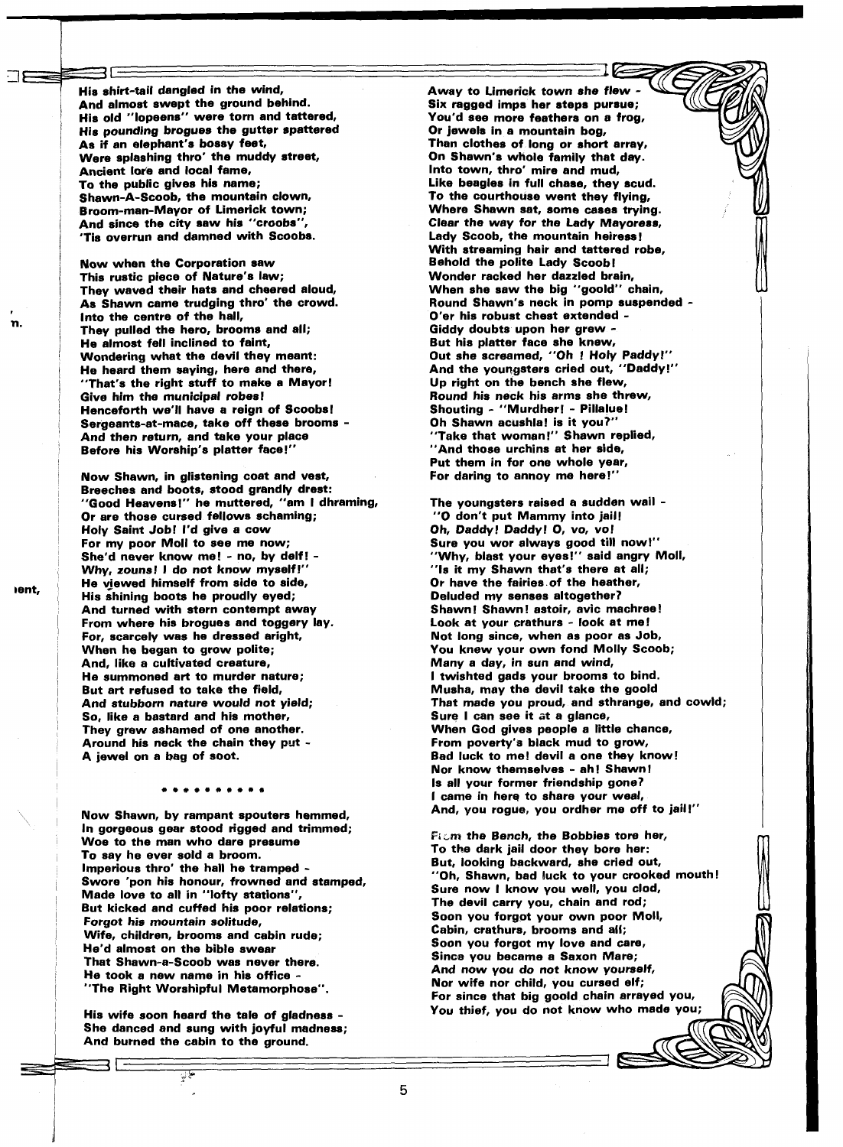His shirt-tail dangled in the wind, And almost swept the ground behind. His old "lopeens" were torn and tattered, His pounding brogues the gutter spattered As if an elephant's bossy feet, Were splashing thro' the muddy street, Ancient lore and local fame, To the public gives his name; Shawn-A-Scoob, the mountain clown, Broom-man-Mayor of Limerick town; And since the city saw his "croobs" 'Tis overrun and damned with Scoobs.

Now when the Corporation saw This rustic piece of Nature's law; They waved their hats and cheered aloud, As Shawn came trudging thro' the crowd. lnto the centre of the hall, They pulled the hero, brooms and all; He almost fell inclined to faint, Wondering what the devil they meant: He heard them saying, here and there, "That's the right stuff to make a Mayor! Give him the municipal robes! Henceforth we'll have a reign of Scoobs! Sergeants-at-mace, take off these brooms - And then return, and take your place Before his Worship's platter face!"

Now Shawn, in glistening coat and vest, Breeches and boots, stood grandly drest: "Good Heavens!" he muttered, "am I dhraming, Or are those cursed fellows schaming; Holy Saint Job! I'd give a cow For my poor Moll to see me now; She'd never know me! - no, by delf! - Why, zouns! I do not know myself!" He viewed himself from side to side, His shining boots he proudly eyed; And turned with stern contempt away From where his brogues and toggery lay. For, scarcely was he dressed aright, When he began to grow polite; And, like a cultivated creature, He summoned art to murder nature; But art refused to take the field, And stubborn nature would not yield; So, like a bastard and his mother, They grew ashamed of one another. Around his neck the chain they put - A jewel on a bag of soot.

## . . . . . . . . . .

Now Shawn, by rampant spouters hemmed, In gorgeous gear stood rigged and trimmed; Woe to the man who dare presume To say he ever sold a broom. Imperious thro' the hall he tramped - Swore 'pon his honour, frowned and stamped, Made love to all in "lofty stations", But kicked and cuffed his poor relations; Forgot his mountain solitude, Wife, children, brooms and cabin rude; He'd almost on the bible swear That Shawn-a-Scoob was never there. He took a new name in his office - "The Right Worshipful Metamorphose".

His wife soon heard the tale of gladness - She danced and sung with joyful madness; And burned the cabin to the ground.

 $\frac{1}{2}$ 

Away to Limerick town she flew Six ragged imps her steps pursue; You'd see more feathers on a frog, Or jewels in a mountain bog, Than clothes of long or short array, On Shawn's whole family that day. lnto town. thro' mire and mud. Like beagles in full chase, they scud. TO the courthouse went they flying, Where Shawn sat, some cases trying. Clear the way for the Lady Mayoress, Lady Scoob, the mountain heiress! With streaming hair and tattered robe, Behold the polite Lady Scoob! Wonder racked her dazzled brain, When she saw the big "goold" chain, Round Shawn's neck in pomp suspended - O'er his robust chest extended - Giddy doubts upon her grew - But his platter face she knew, Out she screamed, "Oh ! Holy Paddy!" And the youngsters cried out, "Daddy!" Up right on the bench she flew, Round his neck his arms she threw, Shouting - "Murdher! - Pillalue! Oh Shawn acushla! is it you?' "Take that woman!" Shawn replied, "And those urchins at her side, Put them in for one whole year, For daring to annoy me here!"

The youngsters raised a sudden wail - "0 don't put Mammy into jail! Oh, Daddy! Daddy! 0, vo, vo! Sure you wor always good till now!" "Why, blast your eyes!" said angry Moll, "Is it my Shawn that's there at all; Or have the fairies.of the heather, Deluded my senses altogether? Shawn! Shawn! astoir, avic machreel Look at your crathurs - look at me! Not long since, when as poor as Job, You knew your own fond Molly Scoob; Many a day, in sun and wind, I twishted gads your brooms to bind. Musha, may the devil take the goold That made you proud, and sthrange, and cowld; Sure I can see it at a glance, When God gives people a little chance, From poverty'e black mud to grow, Bad luck to me! devil a one they know! Nor know themselves - ah! Shawn! Is all your former friendship gone? I came in here to share your weal, And, you rogue, you ordher me off to jail!"

**Pi~m** the Bench, the Bobbies tore her, To the dark jail door they bore her: But, looking backward, she cried out, "Oh, Shawn, bad luck to your crooked mouth Sure now I know you well, you clod, The devil carry you, chain and rod; Soon you forgot your own poor Moll, Cabin, crathurs, brooms and all; Soon you forgot my love and care, Since you became a Saxon Mare; And now you do not know yourself, Nor wife nor child, you cursed elf; For since that big goold chain arrayed you, You thief, vou do not know who made you;

'n.

5